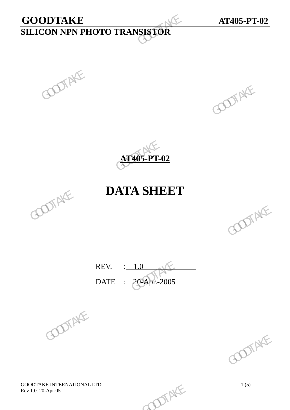# **GOODTAKE AT405-PT-02 SILICON NPN PHOTO TRANSISTOR**  GOODTAKE<br>SILICON NPN PHOTO TRANSISTOR





## **DATA SHEET**



REV. : 1.0 DATE : 20-Apr.-2005 REV.  $\frac{1.0}{20-20.5}$  GOOTAKE





GOODTAKE INTERNATIONAL LTD.<br>
Rev 1.0. 20-Apr-05 1(5) Rev 1.0. 20-Apr-05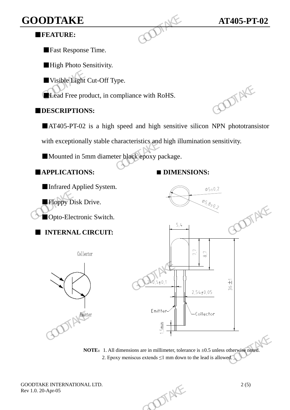## **GOODTAKE AT405-PT-02**

#### ■**FEATURE:**

■Fast Response Time.

■High Photo Sensitivity.

■Visible Light Cut-Off Type.

■Lead Free product, in compliance with RoHS.

#### ■**DESCRIPTIONS:**

■AT405-PT-02 is a high speed and high sensitive silicon NPN phototransistor

with exceptionally stable characteristics and high illumination sensitivity. GOODTAKE<br>
FEATURE:<br>
Fast Response Time.<br>
High Photo Sensitivity.<br>
Usible Light Cut-Off Type.<br>
Lead Free product, in compliance with RoHS.<br>
DESCRIPTIONS:<br>
AT405-PT-02 is a high speed and high sensitive<br>
with exceptionally s

■Mounted in 5mm diameter black epoxy package.

■**APPLICATIONS: ■ DIMENSIONS:**



**NOTE:** 1. All dimensions are in millimeter, tolerance is  $\pm 0.5$  unless otherwise noted. 2. Epoxy meniscus extends  $\leq 1$  mm down to the lead is allowed.

GOODTAKE INTERNATIONAL LTD.<br>
Rev 1.0. 20-Apr-05<br>
2 (5) Rev 1.0. 20-Apr-05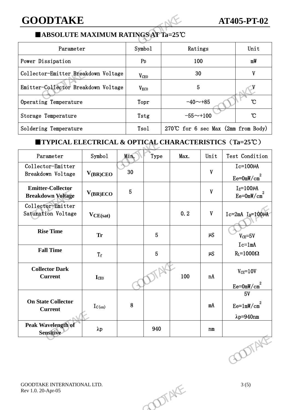### **GOODTAKE AT405-PT-02**

#### ■**ABSOLUTE MAXIMUM RATINGS AT Ta=25**℃

| <b>GOODTAKE</b>                                                                       |                  |                                       | <b>AT405-PT-02</b> |                |  |  |  |  |  |  |
|---------------------------------------------------------------------------------------|------------------|---------------------------------------|--------------------|----------------|--|--|--|--|--|--|
| ■ ABSOLUTE MAXIMUM RATINGS AT Ta=25℃                                                  |                  |                                       |                    |                |  |  |  |  |  |  |
| Parameter                                                                             | Symbo1           | Ratings                               |                    | Unit           |  |  |  |  |  |  |
| Power Dissipation                                                                     | P <sub>D</sub>   | 100                                   | mW                 |                |  |  |  |  |  |  |
| Collector-Emitter Breakdown Voltage                                                   | V <sub>CEO</sub> | 30                                    | V                  |                |  |  |  |  |  |  |
| Emitter-Collector Breakdown Voltage                                                   | V <sub>ECO</sub> | 5                                     |                    |                |  |  |  |  |  |  |
| Operating Temperature                                                                 | Topr             | $-40$ ~+85                            | °C                 |                |  |  |  |  |  |  |
| Storage Temperature                                                                   | Tstg             | $-55 - +100$                          | $\mathcal{C}$      |                |  |  |  |  |  |  |
| Soldering Temperature                                                                 | Tsol             | 270°C for 6 sec Max $(2mm from Body)$ |                    |                |  |  |  |  |  |  |
| <b>TYPICAL ELECTRICAL &amp; OPTICAL CHARACTERISTICS <math>(Ta=25^{\circ}C)</math></b> |                  |                                       |                    |                |  |  |  |  |  |  |
| Symbol<br>Parameter                                                                   | Min.<br>Type     | Max.                                  | Unit               | Test Condition |  |  |  |  |  |  |

#### ■**TYPICAL ELECTRICAL & OPTICAL CHARACTERISTICS**(**Ta=25**℃)

|                                                                   | Emitter-Collector Breakdown Voltage |                 | $V_{ECO}$       |       | 5            |                                             |
|-------------------------------------------------------------------|-------------------------------------|-----------------|-----------------|-------|--------------|---------------------------------------------|
| Operating Temperature                                             |                                     |                 | Topr            |       | $-40 - +85$  | $\mathcal{C}$                               |
| Storage Temperature                                               |                                     |                 | Tstg            |       | $-55 - +100$ | $\mathcal{C}$                               |
| Soldering Temperature                                             |                                     |                 | Tsol            |       |              | 270°C for 6 sec Max (2mm from Body)         |
| <b>TYPICAL ELECTRICAL &amp; OPTICAL CHARACTERISTICS (Ta=25°C)</b> |                                     |                 |                 |       |              |                                             |
| Parameter                                                         | Symbol                              | Min.            | Type            | Max.  | Unit         | Test Condition                              |
| Collector-Emitter<br>Breakdown Voltage                            | $V_{(BR)CEO}$                       | 30              |                 |       | $\mathbf{V}$ | $Ic=100\mu A$<br>$Ee = 0mW/cm2$             |
| <b>Emitter-Collector</b><br><b>Breakdown Voltage</b>              | $V_{(BR)ECO}$                       | $5\phantom{.0}$ |                 |       | $\mathbf{V}$ | $I_E = 100 \mu A$<br>$Ee=0mW/cm^2$          |
| Collector-Emitter<br>Saturation Voltage                           | $V_{CE(sat)}$                       |                 |                 | 0.2   | $\mathbf{V}$ | $Ic=2mA$ $I_B=100\mu A$                     |
| <b>Rise Time</b>                                                  | <b>Tr</b>                           |                 | $5\phantom{.0}$ |       | $\mu S$      | $V_{CE} = 5V$                               |
| <b>Fall Time</b>                                                  | $\rm T_{\rm f}$                     |                 | $5\phantom{.}$  |       | $\mu S$      | $Ic=1mA$<br>$R_{L}=1000\Omega$              |
| <b>Collector Dark</b><br><b>Current</b>                           | <b>I</b> CEO                        |                 |                 | 100   | nA           | $V_{CE} = 10V$<br>$Ee = 0mW/cm2$            |
| <b>On State Collector</b><br><b>Current</b>                       | $I_{C(on)}$                         | $8\phantom{1}$  |                 |       | mA           | 5V<br>$Ee=1mW/cm^2$<br>$\lambda p = 940$ nm |
| Peak Wavelength of<br>Sensitive                                   | $\lambda p$                         |                 | 940             |       | n m          |                                             |
|                                                                   |                                     |                 |                 |       |              | <b>COTAKE</b>                               |
| GOODTAKE INTERNATIONAL LTD.<br>Rev 1.0. 20-Apr-05                 |                                     |                 |                 | DIENE |              | 3(5)                                        |
|                                                                   |                                     |                 |                 |       |              |                                             |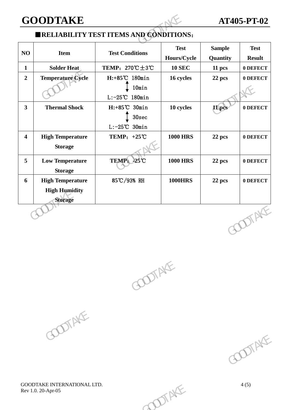#### **GOODTAKE AT405-PT-02**

#### ■**RELIABILITY TEST ITEMS AND CONDITIONS**:

|                                                                   |                                                                         | <b>AT405-PT-02</b>         |                                                |                              |
|-------------------------------------------------------------------|-------------------------------------------------------------------------|----------------------------|------------------------------------------------|------------------------------|
|                                                                   |                                                                         |                            |                                                |                              |
| <b>Item</b>                                                       | <b>Test Conditions</b>                                                  | <b>Test</b><br>Hours/Cycle | <b>Sample</b><br>Quantity                      | <b>Test</b><br><b>Result</b> |
| <b>Solder Heat</b>                                                | TEMP: $270^{\circ}\text{C} \pm 3^{\circ}\text{C}$                       | <b>10 SEC</b>              | 11 pcs                                         | 0 DEFECT                     |
| <b>Temperature Cycle</b>                                          | $H: +85^{\circ}C$ 180min<br>10min<br>$L: -25^{\circ}C$ 180min           | 16 cycles                  | 22 pcs                                         | 0 DEFECT                     |
| <b>Thermal Shock</b>                                              | $H: +85^{\circ}C$ 30min<br>30 <sub>sec</sub><br>$L: -25^{\circ}C$ 30min | 10 cycles                  | 11 pcs                                         | 0 DEFECT                     |
| <b>High Temperature</b><br><b>Storage</b>                         | TEMP: $+25^{\circ}\text{C}$                                             | <b>1000 HRS</b>            | 22 pcs                                         | 0 DEFECT                     |
| <b>Low Temperature</b><br><b>Storage</b>                          | TEMP: -25°C                                                             | <b>1000 HRS</b>            | 22 pcs                                         | 0 DEFECT                     |
| <b>High Temperature</b><br><b>High Humidity</b><br><b>Storage</b> | 85℃/93% RH                                                              | <b>1000HRS</b>             | 22 pcs                                         | 0 DEFECT                     |
|                                                                   |                                                                         |                            |                                                | <b>DOTAKE</b>                |
|                                                                   | <b>GOODTAKE</b>                                                         |                            | <b>ERELIABILITY TEST ITEMS AND CONDITIONS:</b> |                              |





GOODTAKE INTERNATIONAL LTD. 4 (5) Rev 1.0. 20-Apr-05